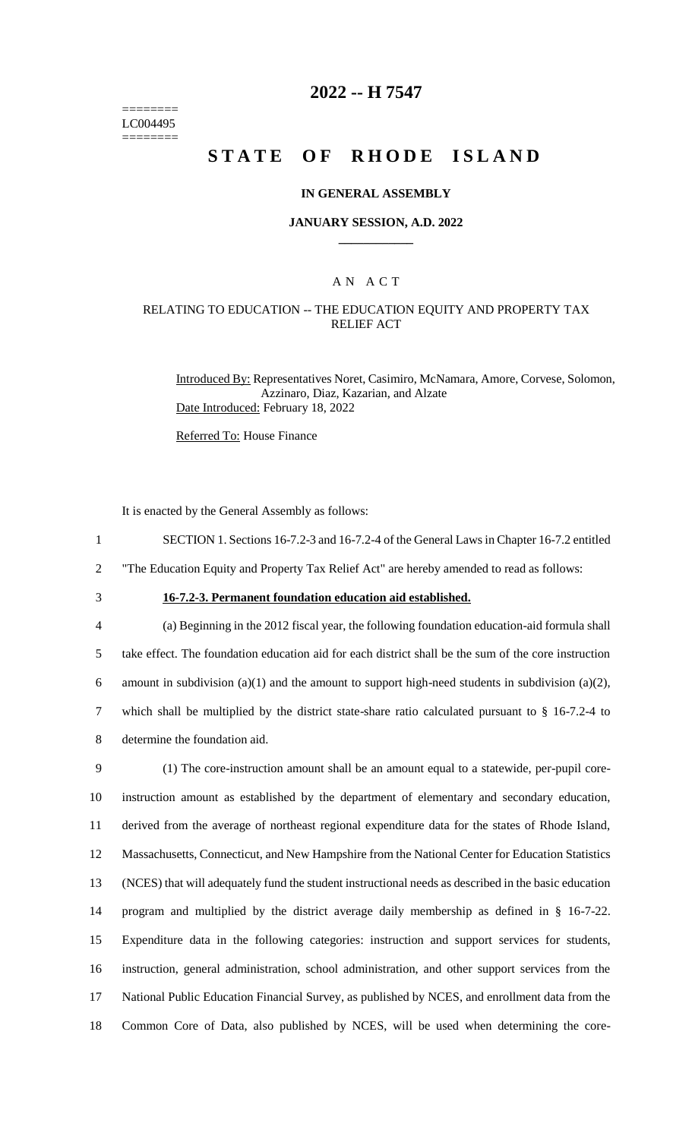======== LC004495 ========

## **2022 -- H 7547**

# **STATE OF RHODE ISLAND**

### **IN GENERAL ASSEMBLY**

#### **JANUARY SESSION, A.D. 2022 \_\_\_\_\_\_\_\_\_\_\_\_**

### A N A C T

### RELATING TO EDUCATION -- THE EDUCATION EQUITY AND PROPERTY TAX RELIEF ACT

Introduced By: Representatives Noret, Casimiro, McNamara, Amore, Corvese, Solomon, Azzinaro, Diaz, Kazarian, and Alzate Date Introduced: February 18, 2022

Referred To: House Finance

It is enacted by the General Assembly as follows:

1 SECTION 1. Sections 16-7.2-3 and 16-7.2-4 of the General Laws in Chapter 16-7.2 entitled

2 "The Education Equity and Property Tax Relief Act" are hereby amended to read as follows:

## 3 **16-7.2-3. Permanent foundation education aid established.**

 (a) Beginning in the 2012 fiscal year, the following foundation education-aid formula shall take effect. The foundation education aid for each district shall be the sum of the core instruction 6 amount in subdivision (a)(1) and the amount to support high-need students in subdivision (a)(2), which shall be multiplied by the district state-share ratio calculated pursuant to § 16-7.2-4 to determine the foundation aid.

 (1) The core-instruction amount shall be an amount equal to a statewide, per-pupil core- instruction amount as established by the department of elementary and secondary education, derived from the average of northeast regional expenditure data for the states of Rhode Island, Massachusetts, Connecticut, and New Hampshire from the National Center for Education Statistics (NCES) that will adequately fund the student instructional needs as described in the basic education program and multiplied by the district average daily membership as defined in § 16-7-22. Expenditure data in the following categories: instruction and support services for students, instruction, general administration, school administration, and other support services from the National Public Education Financial Survey, as published by NCES, and enrollment data from the Common Core of Data, also published by NCES, will be used when determining the core-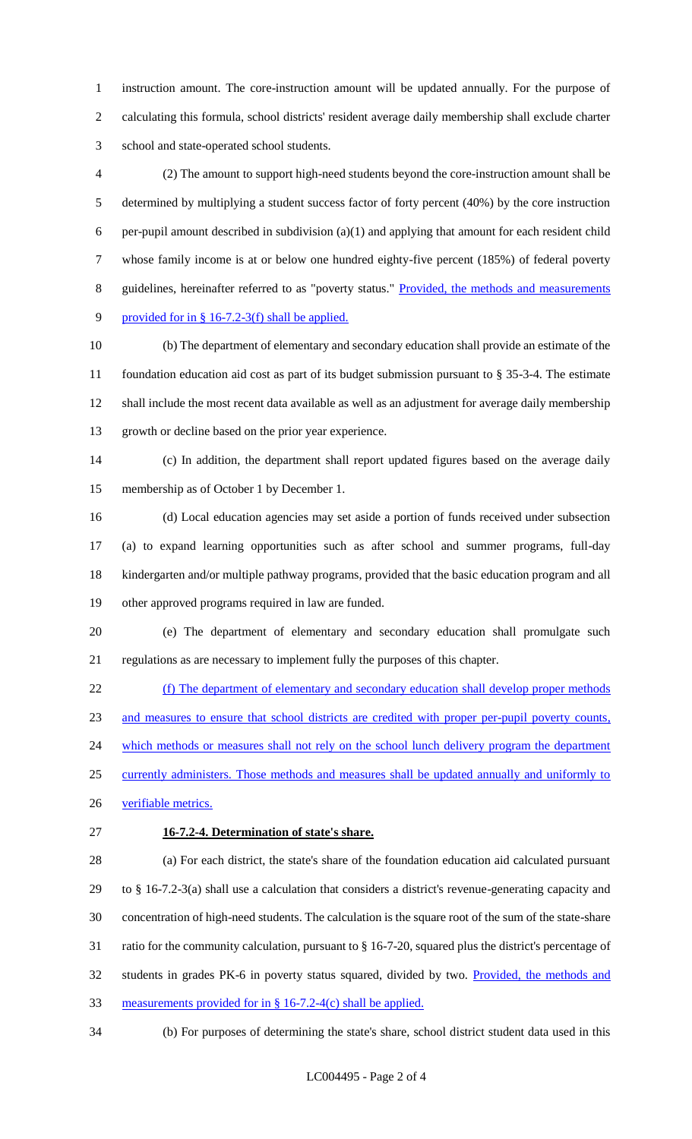instruction amount. The core-instruction amount will be updated annually. For the purpose of calculating this formula, school districts' resident average daily membership shall exclude charter school and state-operated school students.

 (2) The amount to support high-need students beyond the core-instruction amount shall be determined by multiplying a student success factor of forty percent (40%) by the core instruction per-pupil amount described in subdivision (a)(1) and applying that amount for each resident child whose family income is at or below one hundred eighty-five percent (185%) of federal poverty 8 guidelines, hereinafter referred to as "poverty status." Provided, the methods and measurements provided for in § 16-7.2-3(f) shall be applied.

 (b) The department of elementary and secondary education shall provide an estimate of the foundation education aid cost as part of its budget submission pursuant to § 35-3-4. The estimate shall include the most recent data available as well as an adjustment for average daily membership growth or decline based on the prior year experience.

 (c) In addition, the department shall report updated figures based on the average daily membership as of October 1 by December 1.

 (d) Local education agencies may set aside a portion of funds received under subsection (a) to expand learning opportunities such as after school and summer programs, full-day kindergarten and/or multiple pathway programs, provided that the basic education program and all other approved programs required in law are funded.

 (e) The department of elementary and secondary education shall promulgate such regulations as are necessary to implement fully the purposes of this chapter.

 (f) The department of elementary and secondary education shall develop proper methods and measures to ensure that school districts are credited with proper per-pupil poverty counts, 24 which methods or measures shall not rely on the school lunch delivery program the department 25 currently administers. Those methods and measures shall be updated annually and uniformly to verifiable metrics.

**16-7.2-4. Determination of state's share.**

 (a) For each district, the state's share of the foundation education aid calculated pursuant to § 16-7.2-3(a) shall use a calculation that considers a district's revenue-generating capacity and concentration of high-need students. The calculation is the square root of the sum of the state-share ratio for the community calculation, pursuant to § 16-7-20, squared plus the district's percentage of 32 students in grades PK-6 in poverty status squared, divided by two. Provided, the methods and measurements provided for in § 16-7.2-4(c) shall be applied.

(b) For purposes of determining the state's share, school district student data used in this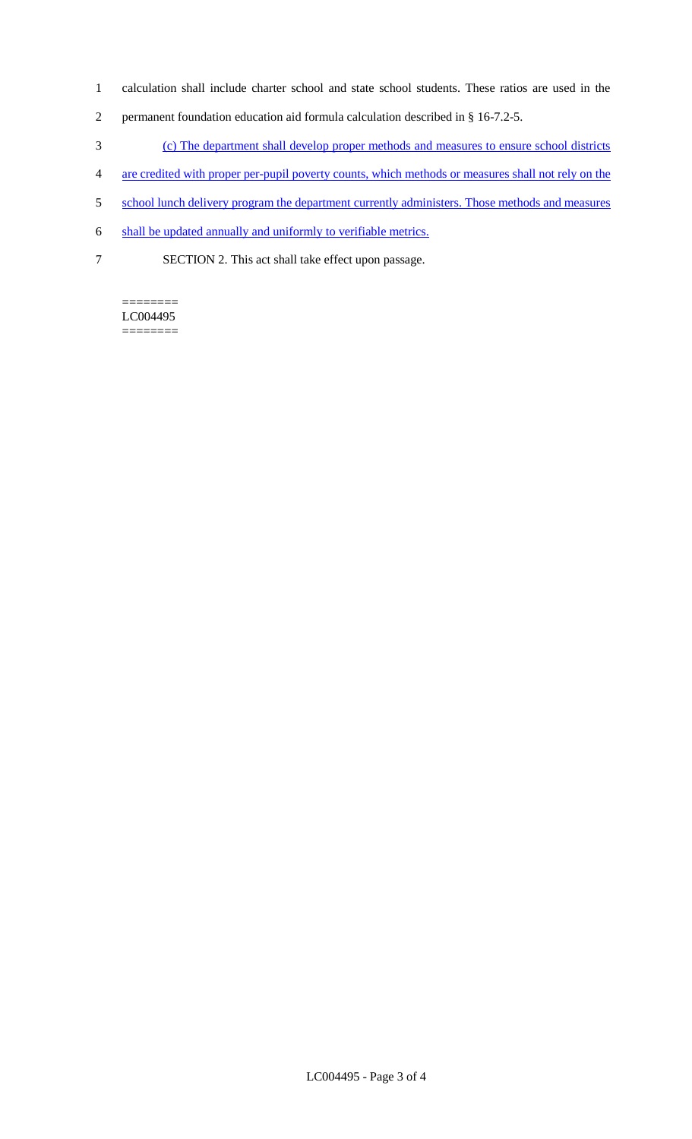- 1 calculation shall include charter school and state school students. These ratios are used in the
- 2 permanent foundation education aid formula calculation described in § 16-7.2-5.
- 3 (c) The department shall develop proper methods and measures to ensure school districts
- 4 are credited with proper per-pupil poverty counts, which methods or measures shall not rely on the
- 5 school lunch delivery program the department currently administers. Those methods and measures
- 6 shall be updated annually and uniformly to verifiable metrics.
- 7 SECTION 2. This act shall take effect upon passage.

======== LC004495 ========